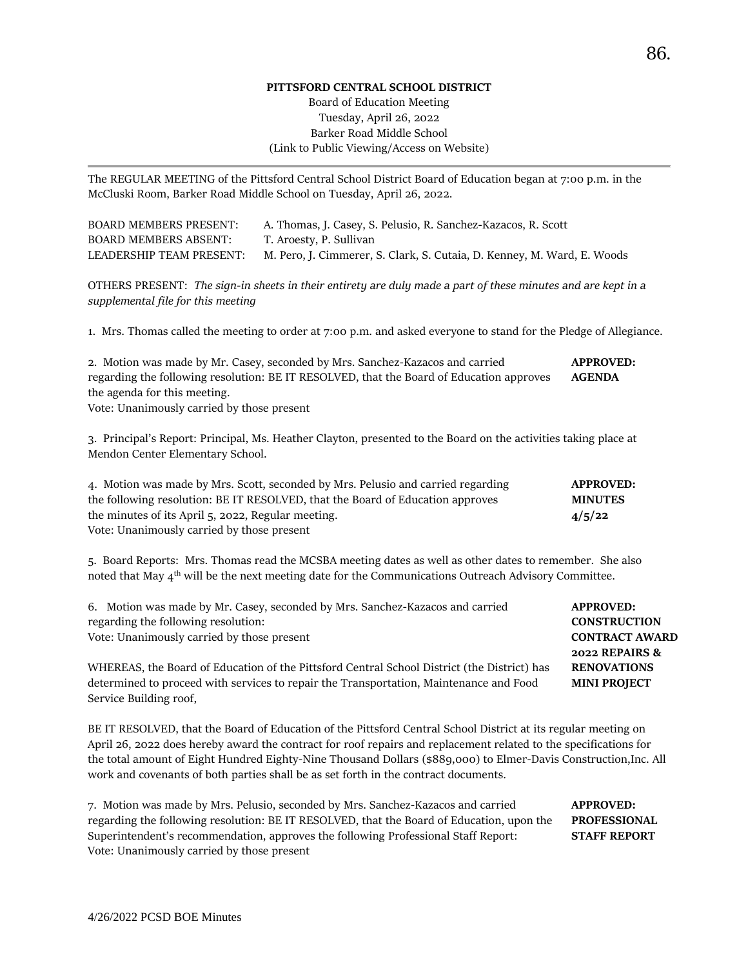#### **PITTSFORD CENTRAL SCHOOL DISTRICT**

## Board of Education Meeting Tuesday, April 26, 2022 Barker Road Middle School (Link to Public Viewing/Access on Website)

The REGULAR MEETING of the Pittsford Central School District Board of Education began at 7:00 p.m. in the McCluski Room, Barker Road Middle School on Tuesday, April 26, 2022.

| <b>BOARD MEMBERS PRESENT:</b> | A. Thomas, J. Casey, S. Pelusio, R. Sanchez-Kazacos, R. Scott           |
|-------------------------------|-------------------------------------------------------------------------|
| <b>BOARD MEMBERS ABSENT:</b>  | T. Aroesty, P. Sullivan                                                 |
| LEADERSHIP TEAM PRESENT:      | M. Pero, J. Cimmerer, S. Clark, S. Cutaia, D. Kenney, M. Ward, E. Woods |

OTHERS PRESENT: *The sign-in sheets in their entirety are duly made a part of these minutes and are kept in a supplemental file for this meeting*

1. Mrs. Thomas called the meeting to order at 7:00 p.m. and asked everyone to stand for the Pledge of Allegiance.

| 2. Motion was made by Mr. Casey, seconded by Mrs. Sanchez-Kazacos and carried            | <b>APPROVED:</b> |
|------------------------------------------------------------------------------------------|------------------|
| regarding the following resolution: BE IT RESOLVED, that the Board of Education approves | <b>AGENDA</b>    |
| the agenda for this meeting.                                                             |                  |
|                                                                                          |                  |

Vote: Unanimously carried by those present

3. Principal's Report: Principal, Ms. Heather Clayton, presented to the Board on the activities taking place at Mendon Center Elementary School.

| 4. Motion was made by Mrs. Scott, seconded by Mrs. Pelusio and carried regarding | <b>APPROVED:</b> |
|----------------------------------------------------------------------------------|------------------|
| the following resolution: BE IT RESOLVED, that the Board of Education approves   | <b>MINUTES</b>   |
| the minutes of its April 5, 2022, Regular meeting.                               | 4/5/22           |
| Vote: Unanimously carried by those present                                       |                  |

5. Board Reports: Mrs. Thomas read the MCSBA meeting dates as well as other dates to remember. She also noted that May 4<sup>th</sup> will be the next meeting date for the Communications Outreach Advisory Committee.

| 6. Motion was made by Mr. Casey, seconded by Mrs. Sanchez-Kazacos and carried               | <b>APPROVED:</b>      |
|---------------------------------------------------------------------------------------------|-----------------------|
| regarding the following resolution:                                                         | <b>CONSTRUCTION</b>   |
| Vote: Unanimously carried by those present                                                  | <b>CONTRACT AWARD</b> |
|                                                                                             | 2022 REPAIRS &        |
| WHEREAS, the Board of Education of the Pittsford Central School District (the District) has | <b>RENOVATIONS</b>    |
| determined to proceed with services to repair the Transportation, Maintenance and Food      | <b>MINI PROJECT</b>   |
| Service Building roof,                                                                      |                       |

BE IT RESOLVED, that the Board of Education of the Pittsford Central School District at its regular meeting on April 26, 2022 does hereby award the contract for roof repairs and replacement related to the specifications for the total amount of Eight Hundred Eighty-Nine Thousand Dollars (\$889,000) to Elmer-Davis Construction,Inc. All work and covenants of both parties shall be as set forth in the contract documents.

| 7. Motion was made by Mrs. Pelusio, seconded by Mrs. Sanchez-Kazacos and carried          | <b>APPROVED:</b>    |
|-------------------------------------------------------------------------------------------|---------------------|
| regarding the following resolution: BE IT RESOLVED, that the Board of Education, upon the | <b>PROFESSIONAL</b> |
| Superintendent's recommendation, approves the following Professional Staff Report:        | <b>STAFF REPORT</b> |
| Vote: Unanimously carried by those present                                                |                     |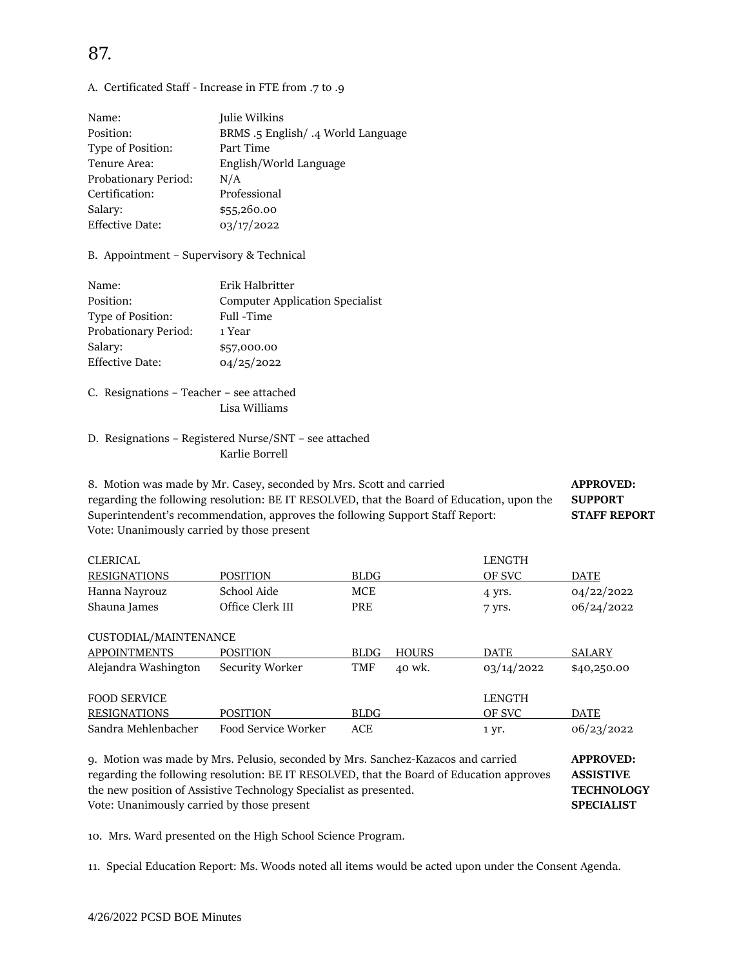# 87.

### A. Certificated Staff - Increase in FTE from .7 to .9

| Name:                  | Julie Wilkins                      |
|------------------------|------------------------------------|
| Position:              | BRMS .5 English/ .4 World Language |
| Type of Position:      | Part Time                          |
| Tenure Area:           | English/World Language             |
| Probationary Period:   | N/A                                |
| Certification:         | Professional                       |
| Salary:                | \$55,260.00                        |
| <b>Effective Date:</b> | 03/17/2022                         |

B. Appointment – Supervisory & Technical

| Name:                  | Erik Halbritter                        |
|------------------------|----------------------------------------|
| Position:              | <b>Computer Application Specialist</b> |
| Type of Position:      | Full -Time                             |
| Probationary Period:   | 1 Year                                 |
| Salary:                | \$57,000.00                            |
| <b>Effective Date:</b> | 04/25/2022                             |

C. Resignations – Teacher – see attached Lisa Williams

### D. Resignations – Registered Nurse/SNT – see attached Karlie Borrell

8. Motion was made by Mr. Casey, seconded by Mrs. Scott and carried **APPROVED:**  regarding the following resolution: BE IT RESOLVED, that the Board of Education, upon the **SUPPORT**  Superintendent's recommendation, approves the following Support Staff Report: **STAFF REPORT**  Vote: Unanimously carried by those present

| <b>CLERICAL</b> |                  |      | LENGTH |            |
|-----------------|------------------|------|--------|------------|
| RESIGNATIONS    | <b>POSITION</b>  | BLDG | OF SVC | DATE       |
| Hanna Nayrouz   | School Aide      | MCE  | 4 Vrs. | 04/22/2022 |
| Shauna James    | Office Clerk III | PRE  | 7 yrs. | 06/24/2022 |

| CUSTODIAL/MAINTENANCE |                     |             |              |               |             |
|-----------------------|---------------------|-------------|--------------|---------------|-------------|
| <b>APPOINTMENTS</b>   | <b>POSITION</b>     | <b>BLDG</b> | <b>HOURS</b> | DATE          | SALARY      |
| Alejandra Washington  | Security Worker     | TMF         | 40 wk.       | 03/14/2022    | \$40,250.00 |
| <b>FOOD SERVICE</b>   |                     |             |              | <b>LENGTH</b> |             |
| <b>RESIGNATIONS</b>   | <b>POSITION</b>     | <b>BLDG</b> |              | OF SVC        | <b>DATE</b> |
| Sandra Mehlenbacher   | Food Service Worker | ACE         |              | 1 yr.         | 06/23/2022  |

9. Motion was made by Mrs. Pelusio, seconded by Mrs. Sanchez-Kazacos and carried **APPROVED:**  regarding the following resolution: BE IT RESOLVED, that the Board of Education approves **ASSISTIVE** the new position of Assistive Technology Specialist as presented. **TECHNOLOGY** Vote: Unanimously carried by those present **SPECIALIST** 

10. Mrs. Ward presented on the High School Science Program.

11. Special Education Report: Ms. Woods noted all items would be acted upon under the Consent Agenda.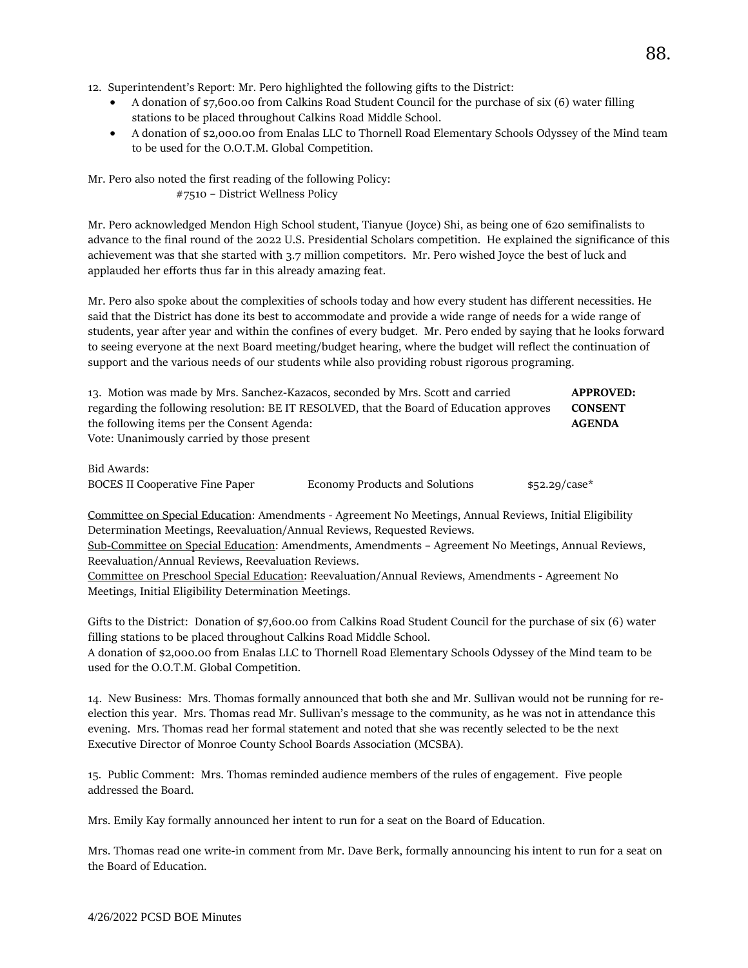12. Superintendent's Report: Mr. Pero highlighted the following gifts to the District:

- A donation of \$7,600.00 from Calkins Road Student Council for the purchase of six (6) water filling stations to be placed throughout Calkins Road Middle School.
- A donation of \$2,000.00 from Enalas LLC to Thornell Road Elementary Schools Odyssey of the Mind team to be used for the O.O.T.M. Global Competition.

Mr. Pero also noted the first reading of the following Policy: #7510 – District Wellness Policy

Mr. Pero acknowledged Mendon High School student, Tianyue (Joyce) Shi, as being one of 620 semifinalists to advance to the final round of the 2022 U.S. Presidential Scholars competition. He explained the significance of this achievement was that she started with 3.7 million competitors. Mr. Pero wished Joyce the best of luck and applauded her efforts thus far in this already amazing feat.

Mr. Pero also spoke about the complexities of schools today and how every student has different necessities. He said that the District has done its best to accommodate and provide a wide range of needs for a wide range of students, year after year and within the confines of every budget. Mr. Pero ended by saying that he looks forward to seeing everyone at the next Board meeting/budget hearing, where the budget will reflect the continuation of support and the various needs of our students while also providing robust rigorous programing.

| 13. Motion was made by Mrs. Sanchez-Kazacos, seconded by Mrs. Scott and carried          | <b>APPROVED:</b> |
|------------------------------------------------------------------------------------------|------------------|
| regarding the following resolution: BE IT RESOLVED, that the Board of Education approves | <b>CONSENT</b>   |
| the following items per the Consent Agenda:                                              | <b>AGENDA</b>    |
| Vote: Unanimously carried by those present                                               |                  |
|                                                                                          |                  |

Bid Awards:

BOCES II Cooperative Fine Paper Economy Products and Solutions \$52.29/case\*

Committee on Special Education: Amendments - Agreement No Meetings, Annual Reviews, Initial Eligibility Determination Meetings, Reevaluation/Annual Reviews, Requested Reviews.

Sub-Committee on Special Education: Amendments, Amendments – Agreement No Meetings, Annual Reviews, Reevaluation/Annual Reviews, Reevaluation Reviews.

Committee on Preschool Special Education: Reevaluation/Annual Reviews, Amendments - Agreement No Meetings, Initial Eligibility Determination Meetings.

Gifts to the District: Donation of \$7,600.00 from Calkins Road Student Council for the purchase of six (6) water filling stations to be placed throughout Calkins Road Middle School.

A donation of \$2,000.00 from Enalas LLC to Thornell Road Elementary Schools Odyssey of the Mind team to be used for the O.O.T.M. Global Competition.

14. New Business: Mrs. Thomas formally announced that both she and Mr. Sullivan would not be running for reelection this year. Mrs. Thomas read Mr. Sullivan's message to the community, as he was not in attendance this evening. Mrs. Thomas read her formal statement and noted that she was recently selected to be the next Executive Director of Monroe County School Boards Association (MCSBA).

15. Public Comment: Mrs. Thomas reminded audience members of the rules of engagement. Five people addressed the Board.

Mrs. Emily Kay formally announced her intent to run for a seat on the Board of Education.

Mrs. Thomas read one write-in comment from Mr. Dave Berk, formally announcing his intent to run for a seat on the Board of Education.